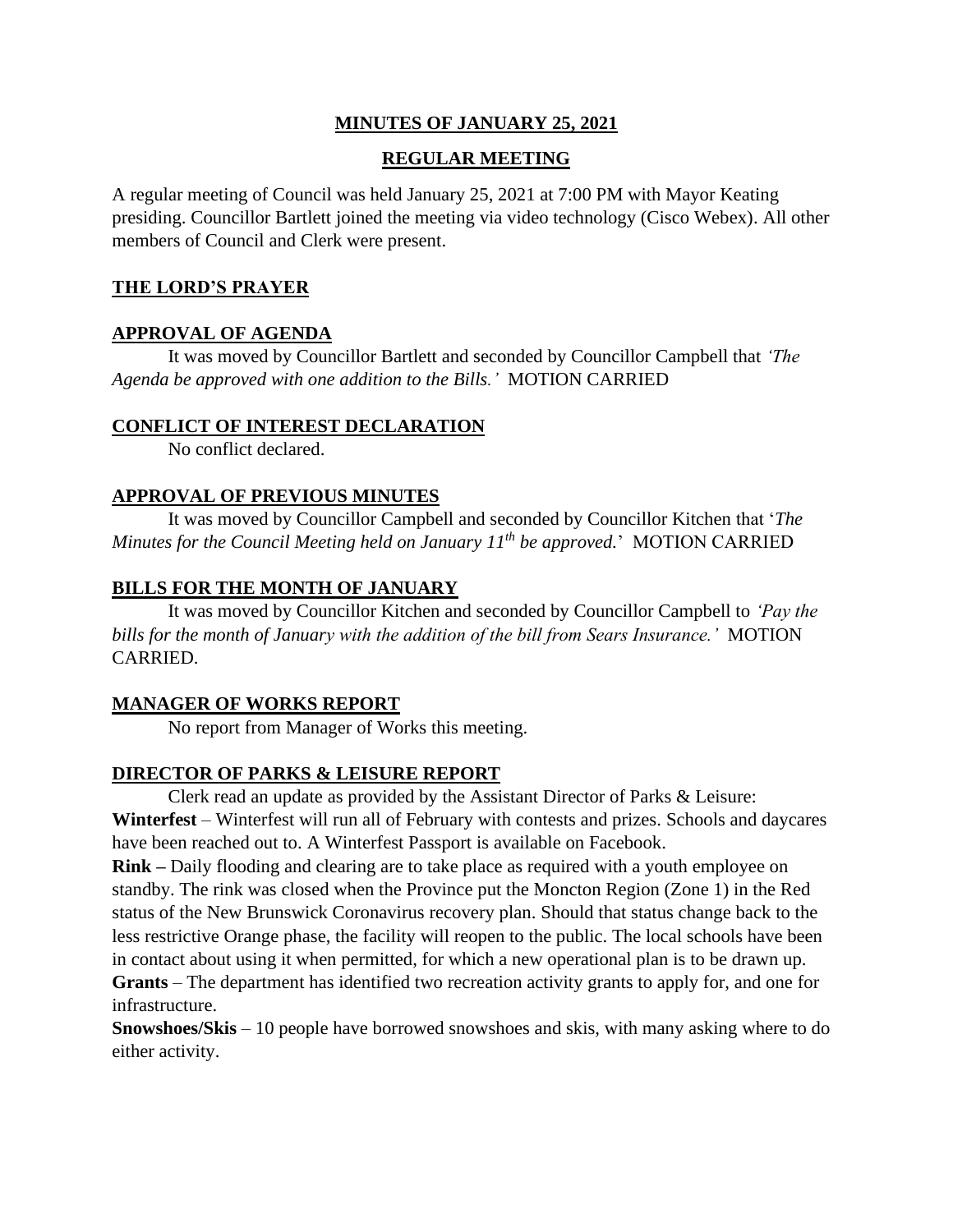## **MINUTES OF JANUARY 25, 2021**

# **REGULAR MEETING**

A regular meeting of Council was held January 25, 2021 at 7:00 PM with Mayor Keating presiding. Councillor Bartlett joined the meeting via video technology (Cisco Webex). All other members of Council and Clerk were present.

# **THE LORD'S PRAYER**

# **APPROVAL OF AGENDA**

It was moved by Councillor Bartlett and seconded by Councillor Campbell that *'The Agenda be approved with one addition to the Bills.'* MOTION CARRIED

## **CONFLICT OF INTEREST DECLARATION**

No conflict declared.

## **APPROVAL OF PREVIOUS MINUTES**

It was moved by Councillor Campbell and seconded by Councillor Kitchen that '*The Minutes for the Council Meeting held on January 11th be approved.*' MOTION CARRIED

# **BILLS FOR THE MONTH OF JANUARY**

It was moved by Councillor Kitchen and seconded by Councillor Campbell to *'Pay the bills for the month of January with the addition of the bill from Sears Insurance.'* MOTION CARRIED.

## **MANAGER OF WORKS REPORT**

No report from Manager of Works this meeting.

# **DIRECTOR OF PARKS & LEISURE REPORT**

Clerk read an update as provided by the Assistant Director of Parks & Leisure: **Winterfest** – Winterfest will run all of February with contests and prizes. Schools and daycares have been reached out to. A Winterfest Passport is available on Facebook.

**Rink –** Daily flooding and clearing are to take place as required with a youth employee on standby. The rink was closed when the Province put the Moncton Region (Zone 1) in the Red status of the New Brunswick Coronavirus recovery plan. Should that status change back to the less restrictive Orange phase, the facility will reopen to the public. The local schools have been in contact about using it when permitted, for which a new operational plan is to be drawn up. **Grants** – The department has identified two recreation activity grants to apply for, and one for infrastructure.

**Snowshoes/Skis** – 10 people have borrowed snowshoes and skis, with many asking where to do either activity.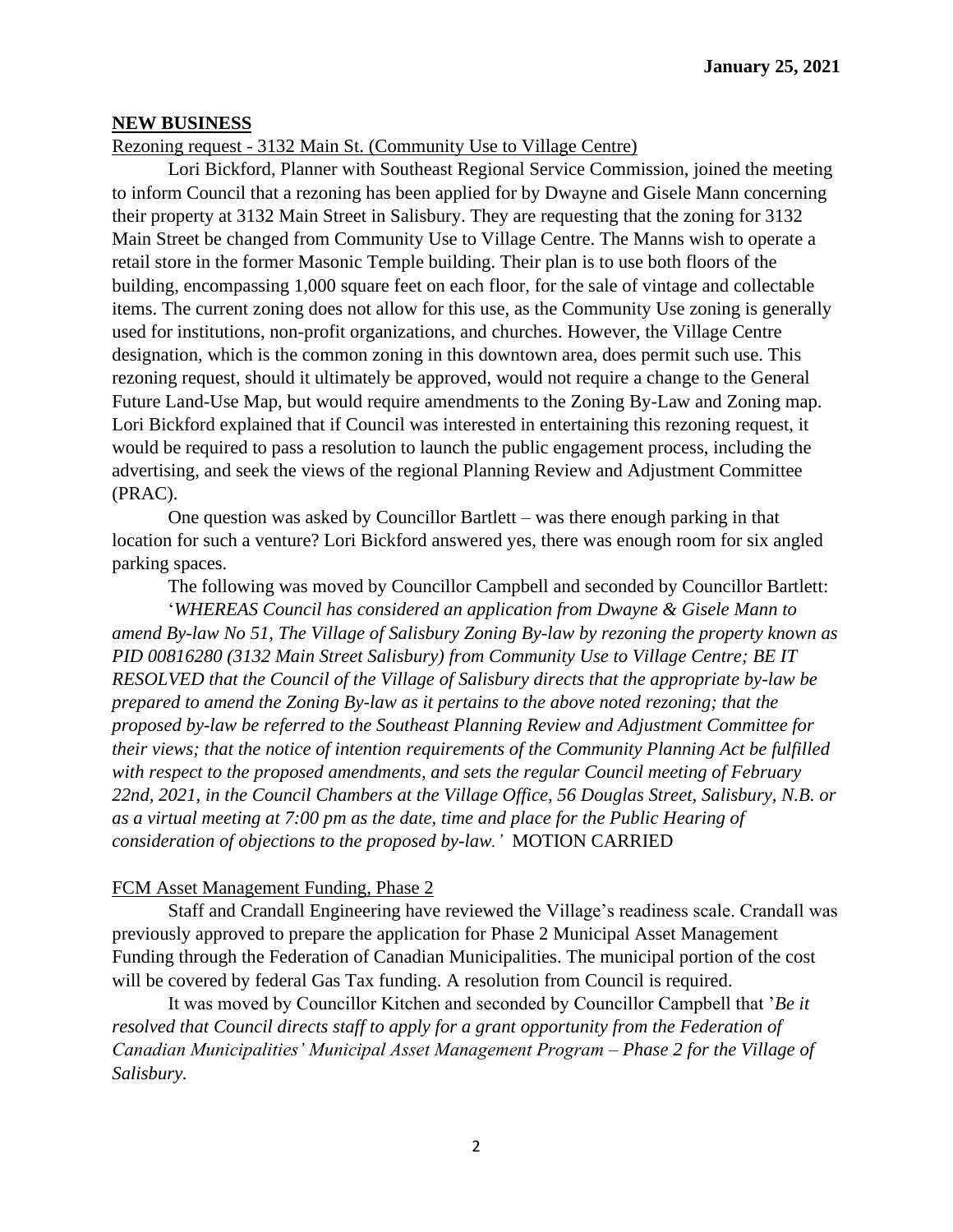#### **NEW BUSINESS**

#### Rezoning request - 3132 Main St. (Community Use to Village Centre)

Lori Bickford, Planner with Southeast Regional Service Commission, joined the meeting to inform Council that a rezoning has been applied for by Dwayne and Gisele Mann concerning their property at 3132 Main Street in Salisbury. They are requesting that the zoning for 3132 Main Street be changed from Community Use to Village Centre. The Manns wish to operate a retail store in the former Masonic Temple building. Their plan is to use both floors of the building, encompassing 1,000 square feet on each floor, for the sale of vintage and collectable items. The current zoning does not allow for this use, as the Community Use zoning is generally used for institutions, non-profit organizations, and churches. However, the Village Centre designation, which is the common zoning in this downtown area, does permit such use. This rezoning request, should it ultimately be approved, would not require a change to the General Future Land-Use Map, but would require amendments to the Zoning By-Law and Zoning map. Lori Bickford explained that if Council was interested in entertaining this rezoning request, it would be required to pass a resolution to launch the public engagement process, including the advertising, and seek the views of the regional Planning Review and Adjustment Committee (PRAC).

One question was asked by Councillor Bartlett – was there enough parking in that location for such a venture? Lori Bickford answered yes, there was enough room for six angled parking spaces.

The following was moved by Councillor Campbell and seconded by Councillor Bartlett:

'*WHEREAS Council has considered an application from Dwayne & Gisele Mann to amend By-law No 51, The Village of Salisbury Zoning By-law by rezoning the property known as PID 00816280 (3132 Main Street Salisbury) from Community Use to Village Centre; BE IT RESOLVED that the Council of the Village of Salisbury directs that the appropriate by-law be prepared to amend the Zoning By-law as it pertains to the above noted rezoning; that the proposed by-law be referred to the Southeast Planning Review and Adjustment Committee for their views; that the notice of intention requirements of the Community Planning Act be fulfilled with respect to the proposed amendments, and sets the regular Council meeting of February 22nd, 2021, in the Council Chambers at the Village Office, 56 Douglas Street, Salisbury, N.B. or as a virtual meeting at 7:00 pm as the date, time and place for the Public Hearing of consideration of objections to the proposed by-law.'* MOTION CARRIED

#### FCM Asset Management Funding, Phase 2

Staff and Crandall Engineering have reviewed the Village's readiness scale. Crandall was previously approved to prepare the application for Phase 2 Municipal Asset Management Funding through the Federation of Canadian Municipalities. The municipal portion of the cost will be covered by federal Gas Tax funding. A resolution from Council is required.

It was moved by Councillor Kitchen and seconded by Councillor Campbell that '*Be it resolved that Council directs staff to apply for a grant opportunity from the Federation of Canadian Municipalities' Municipal Asset Management Program – Phase 2 for the Village of Salisbury.*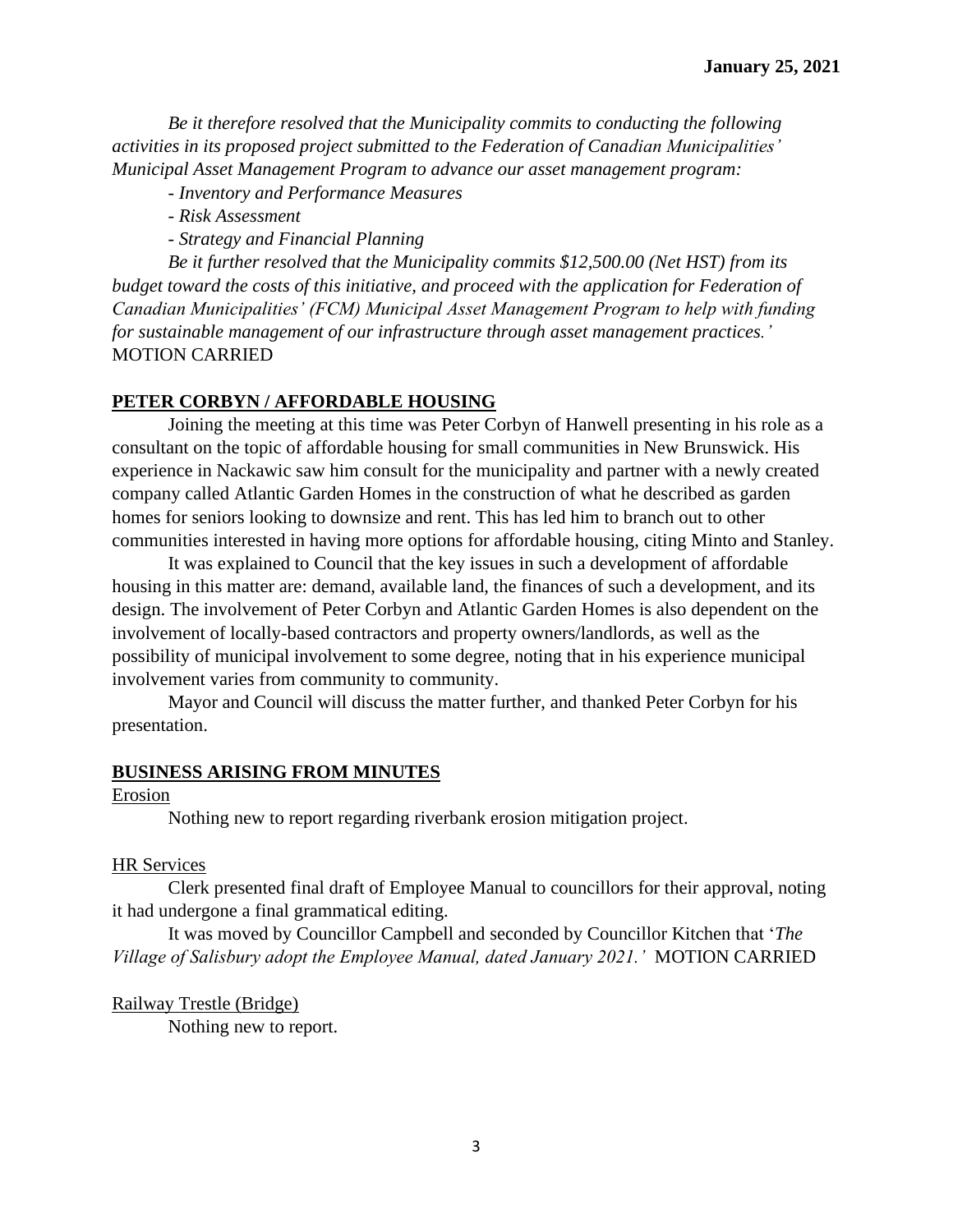*Be it therefore resolved that the Municipality commits to conducting the following activities in its proposed project submitted to the Federation of Canadian Municipalities' Municipal Asset Management Program to advance our asset management program:*

*- Inventory and Performance Measures*

*- Risk Assessment*

*- Strategy and Financial Planning*

*Be it further resolved that the Municipality commits \$12,500.00 (Net HST) from its budget toward the costs of this initiative, and proceed with the application for Federation of Canadian Municipalities' (FCM) Municipal Asset Management Program to help with funding for sustainable management of our infrastructure through asset management practices.'*  MOTION CARRIED

#### **PETER CORBYN / AFFORDABLE HOUSING**

Joining the meeting at this time was Peter Corbyn of Hanwell presenting in his role as a consultant on the topic of affordable housing for small communities in New Brunswick. His experience in Nackawic saw him consult for the municipality and partner with a newly created company called Atlantic Garden Homes in the construction of what he described as garden homes for seniors looking to downsize and rent. This has led him to branch out to other communities interested in having more options for affordable housing, citing Minto and Stanley.

It was explained to Council that the key issues in such a development of affordable housing in this matter are: demand, available land, the finances of such a development, and its design. The involvement of Peter Corbyn and Atlantic Garden Homes is also dependent on the involvement of locally-based contractors and property owners/landlords, as well as the possibility of municipal involvement to some degree, noting that in his experience municipal involvement varies from community to community.

Mayor and Council will discuss the matter further, and thanked Peter Corbyn for his presentation.

#### **BUSINESS ARISING FROM MINUTES**

#### Erosion

Nothing new to report regarding riverbank erosion mitigation project.

#### HR Services

Clerk presented final draft of Employee Manual to councillors for their approval, noting it had undergone a final grammatical editing.

It was moved by Councillor Campbell and seconded by Councillor Kitchen that '*The Village of Salisbury adopt the Employee Manual, dated January 2021.'* MOTION CARRIED

#### Railway Trestle (Bridge)

Nothing new to report.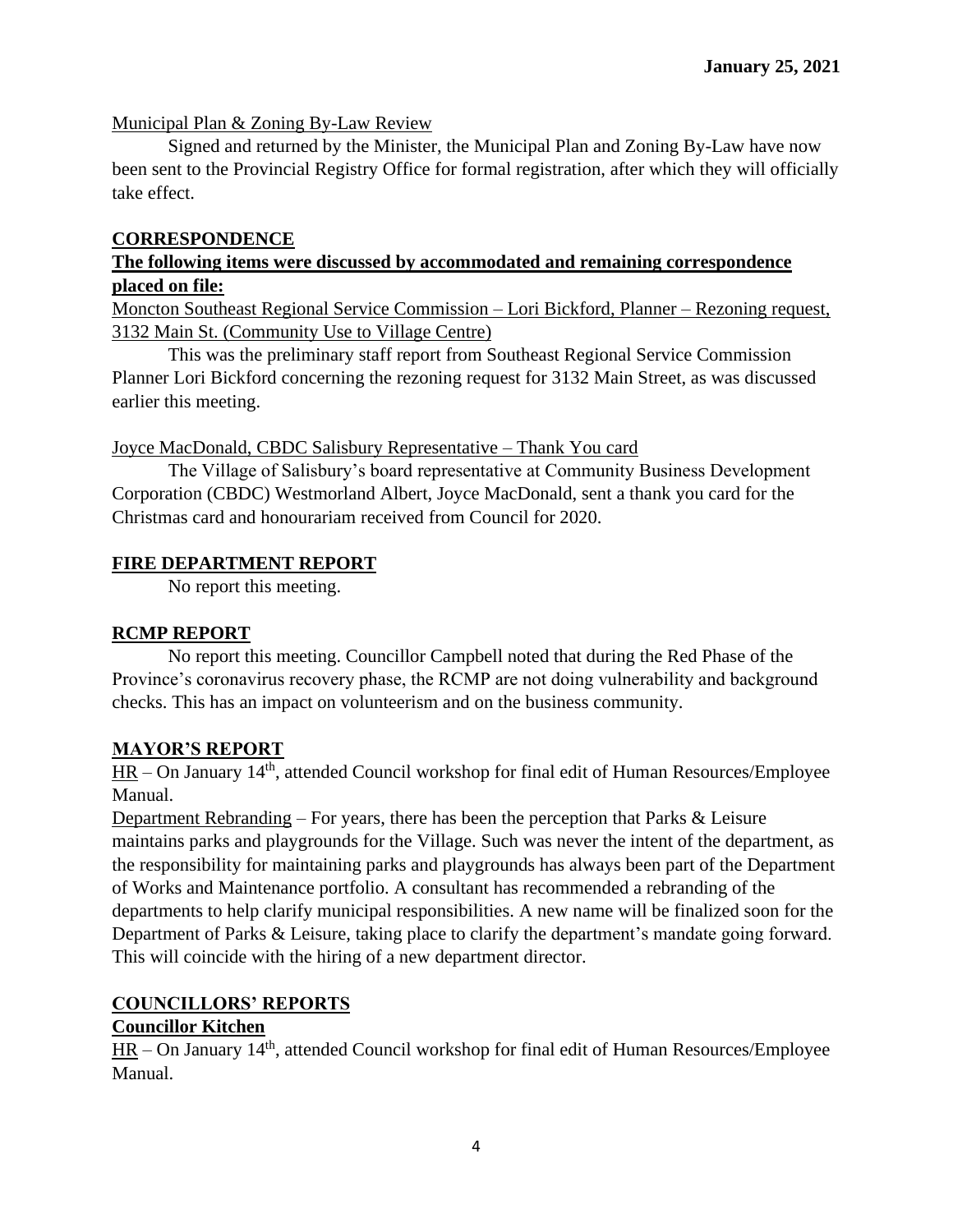## Municipal Plan & Zoning By-Law Review

Signed and returned by the Minister, the Municipal Plan and Zoning By-Law have now been sent to the Provincial Registry Office for formal registration, after which they will officially take effect.

#### **CORRESPONDENCE**

## **The following items were discussed by accommodated and remaining correspondence placed on file:**

Moncton Southeast Regional Service Commission – Lori Bickford, Planner – Rezoning request, 3132 Main St. (Community Use to Village Centre)

This was the preliminary staff report from Southeast Regional Service Commission Planner Lori Bickford concerning the rezoning request for 3132 Main Street, as was discussed earlier this meeting.

#### Joyce MacDonald, CBDC Salisbury Representative – Thank You card

The Village of Salisbury's board representative at Community Business Development Corporation (CBDC) Westmorland Albert, Joyce MacDonald, sent a thank you card for the Christmas card and honourariam received from Council for 2020.

## **FIRE DEPARTMENT REPORT**

No report this meeting.

## **RCMP REPORT**

No report this meeting. Councillor Campbell noted that during the Red Phase of the Province's coronavirus recovery phase, the RCMP are not doing vulnerability and background checks. This has an impact on volunteerism and on the business community.

## **MAYOR'S REPORT**

 $HR - On January 14<sup>th</sup>$ , attended Council workshop for final edit of Human Resources/Employee Manual.

Department Rebranding – For years, there has been the perception that Parks & Leisure maintains parks and playgrounds for the Village. Such was never the intent of the department, as the responsibility for maintaining parks and playgrounds has always been part of the Department of Works and Maintenance portfolio. A consultant has recommended a rebranding of the departments to help clarify municipal responsibilities. A new name will be finalized soon for the Department of Parks & Leisure, taking place to clarify the department's mandate going forward. This will coincide with the hiring of a new department director.

# **COUNCILLORS' REPORTS**

## **Councillor Kitchen**

 $HR - On January 14<sup>th</sup>$ , attended Council workshop for final edit of Human Resources/Employee Manual.